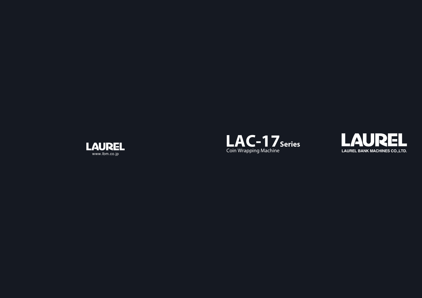